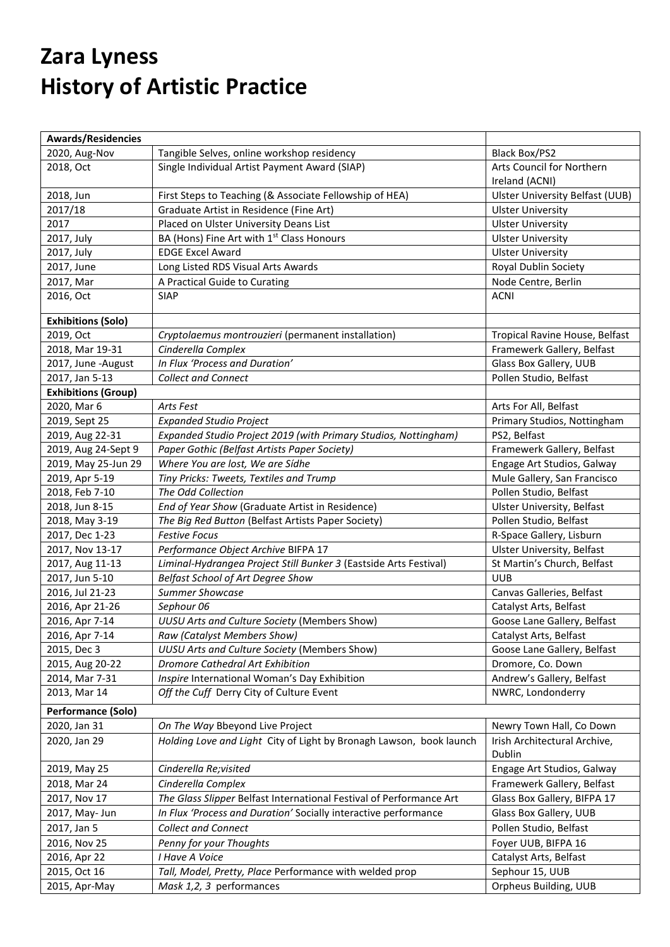## **Zara Lyness History of Artistic Practice**

| <b>Awards/Residencies</b>  |                                                                     |                                        |  |  |
|----------------------------|---------------------------------------------------------------------|----------------------------------------|--|--|
| 2020, Aug-Nov              | Tangible Selves, online workshop residency                          | Black Box/PS2                          |  |  |
| 2018, Oct                  | Single Individual Artist Payment Award (SIAP)                       | Arts Council for Northern              |  |  |
|                            |                                                                     | Ireland (ACNI)                         |  |  |
| 2018, Jun                  | First Steps to Teaching (& Associate Fellowship of HEA)             | <b>Ulster University Belfast (UUB)</b> |  |  |
| 2017/18                    | Graduate Artist in Residence (Fine Art)                             | <b>Ulster University</b>               |  |  |
| 2017                       | Placed on Ulster University Deans List                              | <b>Ulster University</b>               |  |  |
| 2017, July                 | BA (Hons) Fine Art with 1 <sup>st</sup> Class Honours               | <b>Ulster University</b>               |  |  |
| 2017, July                 | <b>EDGE Excel Award</b>                                             | <b>Ulster University</b>               |  |  |
| 2017, June                 | Long Listed RDS Visual Arts Awards                                  | Royal Dublin Society                   |  |  |
| 2017, Mar                  | A Practical Guide to Curating                                       | Node Centre, Berlin                    |  |  |
| 2016, Oct                  | <b>SIAP</b>                                                         | <b>ACNI</b>                            |  |  |
|                            |                                                                     |                                        |  |  |
| <b>Exhibitions (Solo)</b>  |                                                                     |                                        |  |  |
| 2019, Oct                  | Cryptolaemus montrouzieri (permanent installation)                  | Tropical Ravine House, Belfast         |  |  |
| 2018, Mar 19-31            | Cinderella Complex                                                  | Framewerk Gallery, Belfast             |  |  |
| 2017, June -August         | In Flux 'Process and Duration'                                      | Glass Box Gallery, UUB                 |  |  |
| 2017, Jan 5-13             | <b>Collect and Connect</b>                                          | Pollen Studio, Belfast                 |  |  |
| <b>Exhibitions (Group)</b> |                                                                     |                                        |  |  |
| 2020, Mar 6                | Arts Fest                                                           | Arts For All, Belfast                  |  |  |
| 2019, Sept 25              | <b>Expanded Studio Project</b>                                      | Primary Studios, Nottingham            |  |  |
| 2019, Aug 22-31            | Expanded Studio Project 2019 (with Primary Studios, Nottingham)     | PS2, Belfast                           |  |  |
| 2019, Aug 24-Sept 9        | Paper Gothic (Belfast Artists Paper Society)                        | Framewerk Gallery, Belfast             |  |  |
| 2019, May 25-Jun 29        | Where You are lost, We are Sídhe                                    | Engage Art Studios, Galway             |  |  |
| 2019, Apr 5-19             | Tiny Pricks: Tweets, Textiles and Trump                             | Mule Gallery, San Francisco            |  |  |
| 2018, Feb 7-10             | The Odd Collection                                                  | Pollen Studio, Belfast                 |  |  |
| 2018, Jun 8-15             | End of Year Show (Graduate Artist in Residence)                     | Ulster University, Belfast             |  |  |
| 2018, May 3-19             | The Big Red Button (Belfast Artists Paper Society)                  | Pollen Studio, Belfast                 |  |  |
| 2017, Dec 1-23             | <b>Festive Focus</b>                                                | R-Space Gallery, Lisburn               |  |  |
| 2017, Nov 13-17            | Performance Object Archive BIFPA 17                                 | <b>Ulster University, Belfast</b>      |  |  |
| 2017, Aug 11-13            | Liminal-Hydrangea Project Still Bunker 3 (Eastside Arts Festival)   | St Martin's Church, Belfast            |  |  |
| 2017, Jun 5-10             | Belfast School of Art Degree Show                                   | <b>UUB</b>                             |  |  |
| 2016, Jul 21-23            | Summer Showcase                                                     | Canvas Galleries, Belfast              |  |  |
| 2016, Apr 21-26            | Sephour 06                                                          | Catalyst Arts, Belfast                 |  |  |
| 2016, Apr 7-14             | <b>UUSU Arts and Culture Society (Members Show)</b>                 | Goose Lane Gallery, Belfast            |  |  |
| 2016, Apr 7-14             | Raw (Catalyst Members Show)                                         | Catalyst Arts, Belfast                 |  |  |
| 2015, Dec 3                | <b>UUSU Arts and Culture Society (Members Show)</b>                 | Goose Lane Gallery, Belfast            |  |  |
| 2015, Aug 20-22            | Dromore Cathedral Art Exhibition                                    | Dromore, Co. Down                      |  |  |
| 2014, Mar 7-31             | Inspire International Woman's Day Exhibition                        | Andrew's Gallery, Belfast              |  |  |
| 2013, Mar 14               | Off the Cuff Derry City of Culture Event                            | NWRC, Londonderry                      |  |  |
| <b>Performance (Solo)</b>  |                                                                     |                                        |  |  |
| 2020, Jan 31               | On The Way Bbeyond Live Project                                     | Newry Town Hall, Co Down               |  |  |
| 2020, Jan 29               | Holding Love and Light City of Light by Bronagh Lawson, book launch | Irish Architectural Archive,           |  |  |
|                            |                                                                     | Dublin                                 |  |  |
| 2019, May 25               | Cinderella Re; visited                                              | Engage Art Studios, Galway             |  |  |
| 2018, Mar 24               | Cinderella Complex                                                  | Framewerk Gallery, Belfast             |  |  |
| 2017, Nov 17               | The Glass Slipper Belfast International Festival of Performance Art | Glass Box Gallery, BIFPA 17            |  |  |
| 2017, May- Jun             | In Flux 'Process and Duration' Socially interactive performance     | Glass Box Gallery, UUB                 |  |  |
| 2017, Jan 5                | Collect and Connect                                                 | Pollen Studio, Belfast                 |  |  |
| 2016, Nov 25               | Penny for your Thoughts                                             | Foyer UUB, BIFPA 16                    |  |  |
| 2016, Apr 22               | I Have A Voice                                                      | Catalyst Arts, Belfast                 |  |  |
| 2015, Oct 16               | Tall, Model, Pretty, Place Performance with welded prop             | Sephour 15, UUB                        |  |  |
| 2015, Apr-May              | Mask 1,2, 3 performances                                            | Orpheus Building, UUB                  |  |  |
|                            |                                                                     |                                        |  |  |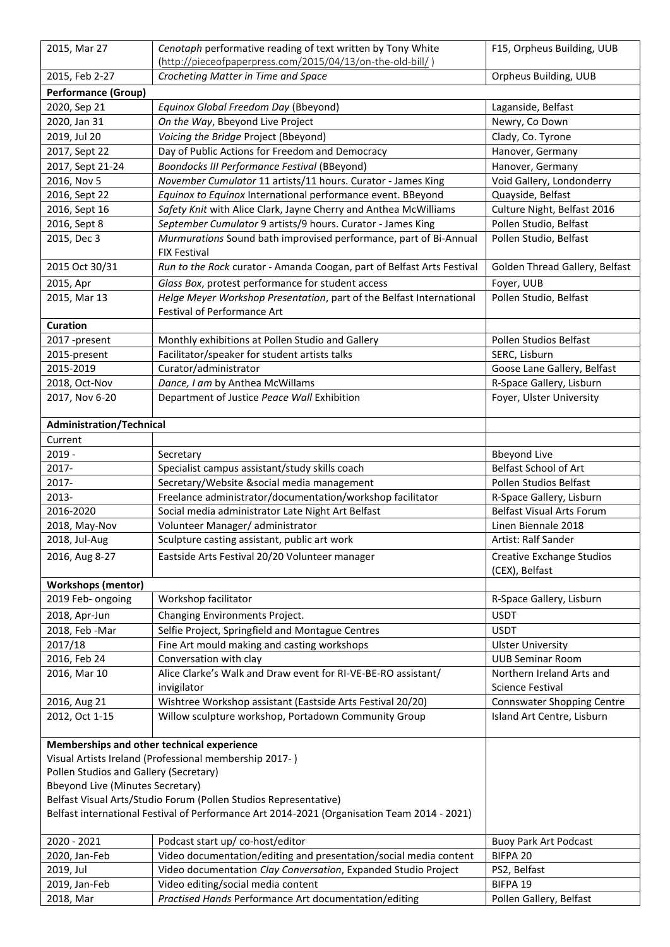| 2015, Mar 27                                                                                | Cenotaph performative reading of text written by Tony White                              | F15, Orpheus Building, UUB                         |  |  |
|---------------------------------------------------------------------------------------------|------------------------------------------------------------------------------------------|----------------------------------------------------|--|--|
|                                                                                             | (http://pieceofpaperpress.com/2015/04/13/on-the-old-bill/)                               |                                                    |  |  |
| 2015, Feb 2-27                                                                              | Crocheting Matter in Time and Space                                                      | Orpheus Building, UUB                              |  |  |
| <b>Performance (Group)</b>                                                                  |                                                                                          |                                                    |  |  |
| 2020, Sep 21                                                                                | Equinox Global Freedom Day (Bbeyond)                                                     | Laganside, Belfast                                 |  |  |
| 2020, Jan 31                                                                                | On the Way, Bbeyond Live Project                                                         | Newry, Co Down                                     |  |  |
| 2019, Jul 20                                                                                | Voicing the Bridge Project (Bbeyond)                                                     | Clady, Co. Tyrone                                  |  |  |
| 2017, Sept 22                                                                               | Day of Public Actions for Freedom and Democracy                                          | Hanover, Germany                                   |  |  |
| 2017, Sept 21-24                                                                            | Boondocks III Performance Festival (BBeyond)                                             | Hanover, Germany                                   |  |  |
| 2016, Nov 5                                                                                 | November Cumulator 11 artists/11 hours. Curator - James King                             | Void Gallery, Londonderry                          |  |  |
| 2016, Sept 22                                                                               | Equinox to Equinox International performance event. BBeyond                              | Quayside, Belfast                                  |  |  |
| 2016, Sept 16                                                                               | Safety Knit with Alice Clark, Jayne Cherry and Anthea McWilliams                         | Culture Night, Belfast 2016                        |  |  |
| 2016, Sept 8                                                                                | September Cumulator 9 artists/9 hours. Curator - James King                              | Pollen Studio, Belfast                             |  |  |
| 2015, Dec 3                                                                                 | Murmurations Sound bath improvised performance, part of Bi-Annual<br><b>FIX Festival</b> | Pollen Studio, Belfast                             |  |  |
| 2015 Oct 30/31                                                                              | Run to the Rock curator - Amanda Coogan, part of Belfast Arts Festival                   | Golden Thread Gallery, Belfast                     |  |  |
| 2015, Apr                                                                                   | Glass Box, protest performance for student access                                        | Foyer, UUB                                         |  |  |
| 2015, Mar 13                                                                                | Helge Meyer Workshop Presentation, part of the Belfast International                     | Pollen Studio, Belfast                             |  |  |
|                                                                                             | Festival of Performance Art                                                              |                                                    |  |  |
| <b>Curation</b>                                                                             |                                                                                          |                                                    |  |  |
| 2017 -present                                                                               | Monthly exhibitions at Pollen Studio and Gallery                                         | Pollen Studios Belfast                             |  |  |
| 2015-present                                                                                | Facilitator/speaker for student artists talks                                            | SERC, Lisburn                                      |  |  |
| 2015-2019                                                                                   | Curator/administrator                                                                    | Goose Lane Gallery, Belfast                        |  |  |
| 2018, Oct-Nov                                                                               | Dance, I am by Anthea McWillams                                                          | R-Space Gallery, Lisburn                           |  |  |
| 2017, Nov 6-20                                                                              | Department of Justice Peace Wall Exhibition                                              | Foyer, Ulster University                           |  |  |
| Administration/Technical                                                                    |                                                                                          |                                                    |  |  |
| Current                                                                                     |                                                                                          |                                                    |  |  |
| $2019 -$                                                                                    | Secretary                                                                                | <b>Bbeyond Live</b>                                |  |  |
| 2017-                                                                                       | Specialist campus assistant/study skills coach                                           | <b>Belfast School of Art</b>                       |  |  |
| 2017-                                                                                       | Secretary/Website &social media management                                               | Pollen Studios Belfast                             |  |  |
| 2013-                                                                                       | Freelance administrator/documentation/workshop facilitator                               | R-Space Gallery, Lisburn                           |  |  |
| 2016-2020                                                                                   | Social media administrator Late Night Art Belfast                                        | <b>Belfast Visual Arts Forum</b>                   |  |  |
| 2018, May-Nov                                                                               | Volunteer Manager/ administrator                                                         | Linen Biennale 2018                                |  |  |
| 2018, Jul-Aug                                                                               | Sculpture casting assistant, public art work                                             | Artist: Ralf Sander                                |  |  |
| 2016, Aug 8-27                                                                              | Eastside Arts Festival 20/20 Volunteer manager                                           | <b>Creative Exchange Studios</b><br>(CEX), Belfast |  |  |
| <b>Workshops (mentor)</b>                                                                   |                                                                                          |                                                    |  |  |
| 2019 Feb- ongoing                                                                           | Workshop facilitator                                                                     | R-Space Gallery, Lisburn                           |  |  |
| 2018, Apr-Jun                                                                               | Changing Environments Project.                                                           | <b>USDT</b>                                        |  |  |
| 2018, Feb - Mar                                                                             | Selfie Project, Springfield and Montague Centres                                         | <b>USDT</b>                                        |  |  |
| 2017/18                                                                                     | Fine Art mould making and casting workshops                                              | <b>Ulster University</b>                           |  |  |
| 2016, Feb 24                                                                                | Conversation with clay                                                                   | <b>UUB Seminar Room</b>                            |  |  |
| 2016, Mar 10                                                                                | Alice Clarke's Walk and Draw event for RI-VE-BE-RO assistant/                            | Northern Ireland Arts and                          |  |  |
|                                                                                             | invigilator                                                                              | <b>Science Festival</b>                            |  |  |
| 2016, Aug 21                                                                                | Wishtree Workshop assistant (Eastside Arts Festival 20/20)                               | <b>Connswater Shopping Centre</b>                  |  |  |
| 2012, Oct 1-15                                                                              | Willow sculpture workshop, Portadown Community Group                                     | Island Art Centre, Lisburn                         |  |  |
| Memberships and other technical experience                                                  |                                                                                          |                                                    |  |  |
|                                                                                             | Visual Artists Ireland (Professional membership 2017-)                                   |                                                    |  |  |
| Pollen Studios and Gallery (Secretary)                                                      |                                                                                          |                                                    |  |  |
| <b>Bbeyond Live (Minutes Secretary)</b>                                                     |                                                                                          |                                                    |  |  |
| Belfast Visual Arts/Studio Forum (Pollen Studios Representative)                            |                                                                                          |                                                    |  |  |
| Belfast international Festival of Performance Art 2014-2021 (Organisation Team 2014 - 2021) |                                                                                          |                                                    |  |  |
| 2020 - 2021                                                                                 | Podcast start up/co-host/editor                                                          | <b>Buoy Park Art Podcast</b>                       |  |  |
| 2020, Jan-Feb                                                                               | Video documentation/editing and presentation/social media content                        | BIFPA 20                                           |  |  |
| 2019, Jul                                                                                   | Video documentation Clay Conversation, Expanded Studio Project                           | PS2, Belfast                                       |  |  |
| 2019, Jan-Feb                                                                               | Video editing/social media content                                                       | BIFPA 19                                           |  |  |
| 2018, Mar                                                                                   | Practised Hands Performance Art documentation/editing                                    | Pollen Gallery, Belfast                            |  |  |